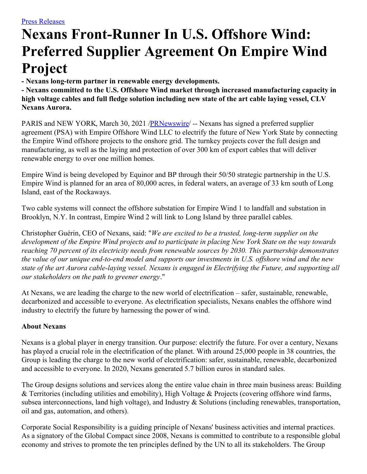## **Nexans Front-Runner In U.S. Offshore Wind: Preferred Supplier Agreement On Empire Wind Project**

**- Nexans long-term partner in renewable energy developments.**

**- Nexans committed to the U.S. Offshore Wind market through increased manufacturing capacity in high voltage cables and full fledge solution including new state of the art cable laying vessel, CLV Nexans Aurora.**

PARIS and NEW YORK, March 30, 2021 /**PRNewswire/** -- Nexans has signed a preferred supplier agreement (PSA) with Empire Offshore Wind LLC to electrify the future of New York State by connecting the Empire Wind offshore projects to the onshore grid. The turnkey projects cover the full design and manufacturing, as well as the laying and protection of over 300 km of export cables that will deliver renewable energy to over one million homes.

Empire Wind is being developed by Equinor and BP through their 50/50 strategic partnership in the U.S. Empire Wind is planned for an area of 80,000 acres, in federal waters, an average of 33 km south of Long Island, east of the Rockaways.

Two cable systems will connect the offshore substation for Empire Wind 1 to landfall and substation in Brooklyn, N.Y. In contrast, Empire Wind 2 will link to Long Island by three parallel cables.

Christopher Guérin, CEO of Nexans, said: "*We are excited to be a trusted, long-term supplier on the* development of the Empire Wind projects and to participate in placing New York State on the way towards *reaching 70 percent of its electricity needs from renewable sources by 2030. This partnership demonstrates* the value of our unique end-to-end model and supports our investments in U.S. offshore wind and the new state of the art Aurora cable-laying vessel. Nexans is engaged in Electrifying the Future, and supporting all *our stakeholders on the path to greener energy*."

At Nexans, we are leading the charge to the new world of electrification – safer, sustainable, renewable, decarbonized and accessible to everyone. As electrification specialists, Nexans enables the offshore wind industry to electrify the future by harnessing the power of wind.

## **About Nexans**

Nexans is a global player in energy transition. Our purpose: electrify the future. For over a century, Nexans has played a crucial role in the electrification of the planet. With around 25,000 people in 38 countries, the Group is leading the charge to the new world of electrification: safer, sustainable, renewable, decarbonized and accessible to everyone. In 2020, Nexans generated 5.7 billion euros in standard sales.

The Group designs solutions and services along the entire value chain in three main business areas: Building & Territories (including utilities and emobility), High Voltage & Projects (covering offshore wind farms, subsea interconnections, land high voltage), and Industry & Solutions (including renewables, transportation, oil and gas, automation, and others).

Corporate Social Responsibility is a guiding principle of Nexans' business activities and internal practices. As a signatory of the Global Compact since 2008, Nexans is committed to contribute to a responsible global economy and strives to promote the ten principles defined by the UN to all its stakeholders. The Group